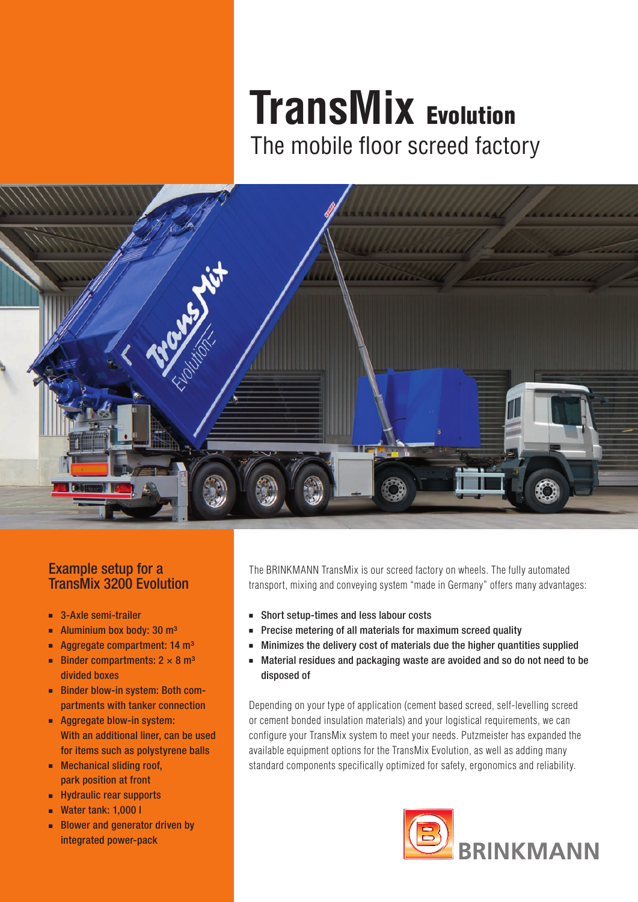## **TransMix** Evolution The mobile floor screed factory

#### Example setup for a TransMix 3200 Evolution

- 3-Axle semi-trailer
- Aluminium box body: 30 m<sup>3</sup>
- Aggregate compartment: 14 m<sup>3</sup>
- Binder compartments:  $2 \times 8$  m<sup>3</sup> divided boxes
- Binder blow-in system: Both compartments with tanker connection
- Aggregate blow-in system: With an additional liner, can be used for items such as polystyrene balls
- Mechanical sliding roof, park position at front
- ■■ Hydraulic rear supports
- Water tank: 1,000 l
- Blower and generator driven by integrated power-pack

The BRINKMANN TransMix is our screed factory on wheels. The fully automated transport, mixing and conveying system "made in Germany" offers many advantages:

- Short setup-times and less labour costs
- Precise metering of all materials for maximum screed quality
- Minimizes the delivery cost of materials due the higher quantities supplied
- Material residues and packaging waste are avoided and so do not need to be disposed of

Depending on your type of application (cement based screed, self-levelling screed or cement bonded insulation materials) and your logistical requirements, we can configure your TransMix system to meet your needs. Putzmeister has expanded the available equipment options for the TransMix Evolution, as well as adding many standard components specifically optimized for safety, ergonomics and reliability.